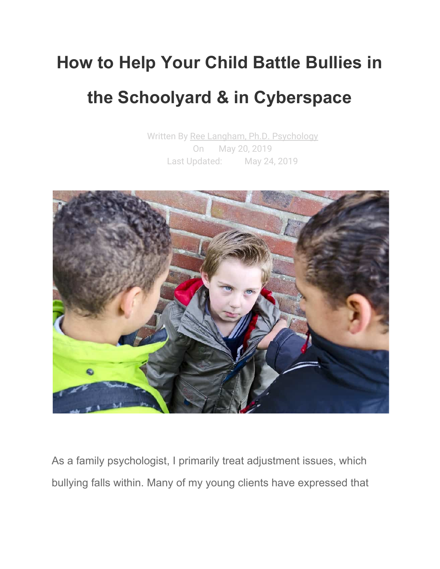# **How to Help Your Child Battle Bullies in the Schoolyard & in Cyberspace**

Written By Ree Langham, Ph.D. [Psychology](https://parentingpod.com/author/drlangham/) On May 20, 2019 Last Updated: May 24, 2019



As a family psychologist, I primarily treat adjustment issues, which bullying falls within. Many of my young clients have expressed that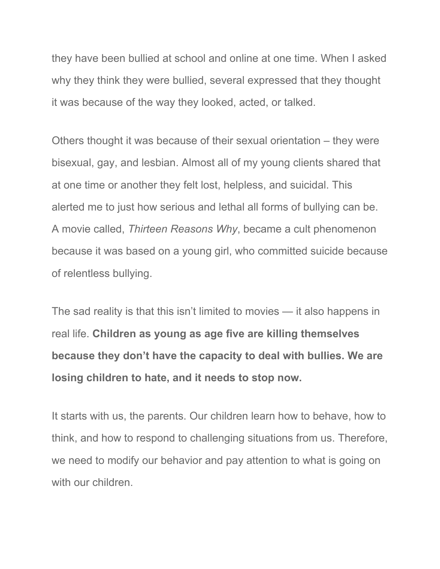they have been bullied at school and online at one time. When I asked why they think they were bullied, several expressed that they thought it was because of the way they looked, acted, or talked.

Others thought it was because of their sexual orientation – they were bisexual, gay, and lesbian. Almost all of my young clients shared that at one time or another they felt lost, helpless, and suicidal. This alerted me to just how serious and lethal all forms of bullying can be. A movie called, *Thirteen Reasons Why*, became a cult phenomenon because it was based on a young girl, who committed suicide because of relentless bullying.

The sad reality is that this isn't limited to movies — it also happens in real life. **Children as young as age five are killing themselves because they don't have the capacity to deal with bullies. We are losing children to hate, and it needs to stop now.**

It starts with us, the parents. Our children learn how to behave, how to think, and how to respond to challenging situations from us. Therefore, we need to modify our behavior and pay attention to what is going on with our children.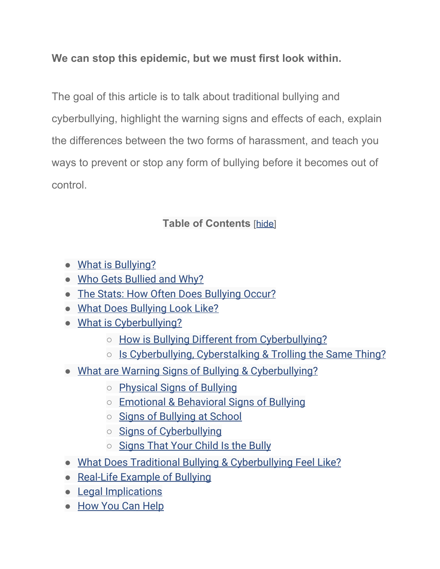**We can stop this epidemic, but we must first look within.**

The goal of this article is to talk about traditional bullying and cyberbullying, highlight the warning signs and effects of each, explain the differences between the two forms of harassment, and teach you ways to prevent or stop any form of bullying before it becomes out of control.

#### **Table of Contents** [\[hide](https://parentingpod.com/bullying/#)]

- What is [Bullying?](https://parentingpod.com/bullying/#what-is-bullying)
- Who Gets [Bullied](https://parentingpod.com/bullying/#who-gets-bullied-and-why) and Why?
- The Stats: How Often Does [Bullying](https://parentingpod.com/bullying/#the-stats-how-often-does-bullying-occur) Occur?
- What Does [Bullying](https://parentingpod.com/bullying/#what-does-bullying-look-like) Look Like?
- What is [Cyberbullying?](https://parentingpod.com/bullying/#what-is-cyberbullying)
	- How is Bullying Different from [Cyberbullying?](https://parentingpod.com/bullying/#how-is-bullying-different-from-cyberbullying)
	- Is [Cyberbullying,](https://parentingpod.com/bullying/#is-cyberbullying-cyberstalking-trolling-the-same-thing) Cyberstalking & Trolling the Same Thing?
- What are Warning Signs of Bullying & [Cyberbullying?](https://parentingpod.com/bullying/#what-are-warning-signs-of-bullying-cyberbullying)
	- [Physical](https://parentingpod.com/bullying/#physical-signs-of-bullying) Signs of Bullying
	- Emotional & [Behavioral](https://parentingpod.com/bullying/#emotional-behavioral-signs-of-bullying) Signs of Bullying
	- Signs of [Bullying](https://parentingpod.com/bullying/#signs-of-bullying-at-school) at School
	- Signs of [Cyberbullying](https://parentingpod.com/bullying/#signs-of-cyberbullying)
	- [Signs](https://parentingpod.com/bullying/#signs-that-your-child-is-the-bully) That Your Child Is the Bully
- What Does Traditional Bullying & [Cyberbullying](https://parentingpod.com/bullying/#what-does-traditional-bullying-cyberbullying-feel-like) Feel Like?
- [Real-Life](https://parentingpod.com/bullying/#real-life-example-of-bullying) Example of Bullying
- Legal [Implications](https://parentingpod.com/bullying/#legal-implications)
- How You Can [Help](https://parentingpod.com/bullying/#how-you-can-help)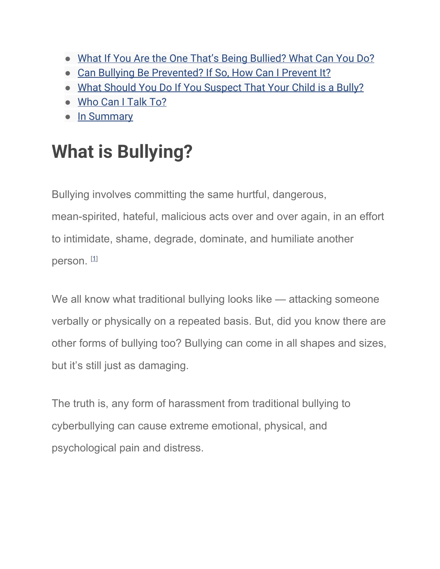- What If You Are the One That's Being [Bullied?](https://parentingpod.com/bullying/#what-if-you-are-the-one-thats-being-bullied-what-can-you-do) What Can You Do?
- Can Bullying Be [Prevented?](https://parentingpod.com/bullying/#can-bullying-be-prevented-if-so-how-can-i-prevent-it) If So, How Can I Prevent It?
- What Should You Do If You [Suspect](https://parentingpod.com/bullying/#what-should-you-do-if-you-suspect-that-your-child-is-a-bully) That Your Child is a Bully?
- [Who](https://parentingpod.com/bullying/#who-can-i-talk-to) Can I Talk To?
- In [Summary](https://parentingpod.com/bullying/#in-summary)

## **What is Bullying?**

Bullying involves committing the same hurtful, dangerous,

mean-spirited, hateful, malicious acts over and over again, in an effort to intimidate, shame, degrade, dominate, and humiliate another person. [[1\]](https://parentingpod.com/bullying/#ref1)

We all know what traditional bullying looks like — attacking someone verbally or physically on a repeated basis. But, did you know there are other forms of bullying too? Bullying can come in all shapes and sizes, but it's still just as damaging.

The truth is, any form of harassment from traditional bullying to cyberbullying can cause extreme emotional, physical, and psychological pain and distress.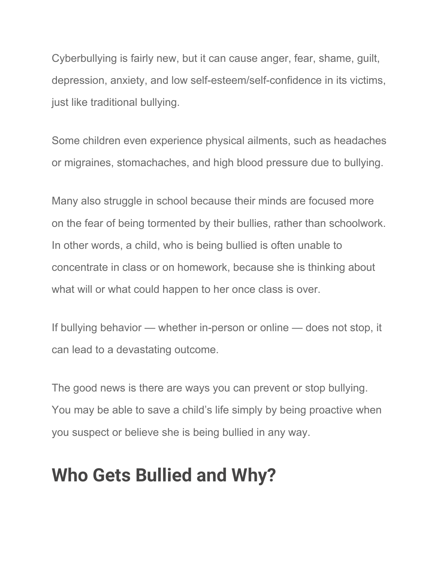Cyberbullying is fairly new, but it can cause anger, fear, shame, guilt, depression, anxiety, and low self-esteem/self-confidence in its victims, just like traditional bullying.

Some children even experience physical ailments, such as headaches or migraines, stomachaches, and high blood pressure due to bullying.

Many also struggle in school because their minds are focused more on the fear of being tormented by their bullies, rather than schoolwork. In other words, a child, who is being bullied is often unable to concentrate in class or on homework, because she is thinking about what will or what could happen to her once class is over.

If bullying behavior — whether in-person or online — does not stop, it can lead to a devastating outcome.

The good news is there are ways you can prevent or stop bullying. You may be able to save a child's life simply by being proactive when you suspect or believe she is being bullied in any way.

### **Who Gets Bullied and Why?**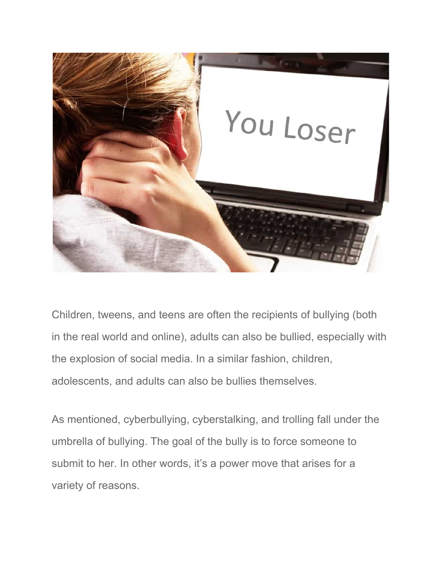

Children, tweens, and teens are often the recipients of bullying (both in the real world and online), adults can also be bullied, especially with the explosion of social media. In a similar fashion, children, adolescents, and adults can also be bullies themselves.

As mentioned, cyberbullying, cyberstalking, and trolling fall under the umbrella of bullying. The goal of the bully is to force someone to submit to her. In other words, it's a power move that arises for a variety of reasons.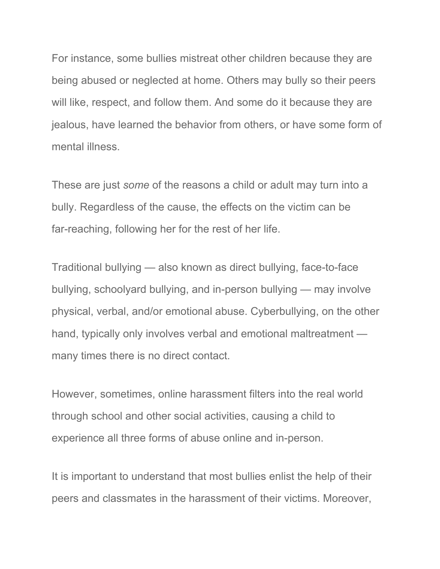For instance, some bullies mistreat other children because they are being abused or neglected at home. Others may bully so their peers will like, respect, and follow them. And some do it because they are jealous, have learned the behavior from others, or have some form of mental illness.

These are just *some* of the reasons a child or adult may turn into a bully. Regardless of the cause, the effects on the victim can be far-reaching, following her for the rest of her life.

Traditional bullying — also known as direct bullying, face-to-face bullying, schoolyard bullying, and in-person bullying — may involve physical, verbal, and/or emotional abuse. Cyberbullying, on the other hand, typically only involves verbal and emotional maltreatment many times there is no direct contact.

However, sometimes, online harassment filters into the real world through school and other social activities, causing a child to experience all three forms of abuse online and in-person.

It is important to understand that most bullies enlist the help of their peers and classmates in the harassment of their victims. Moreover,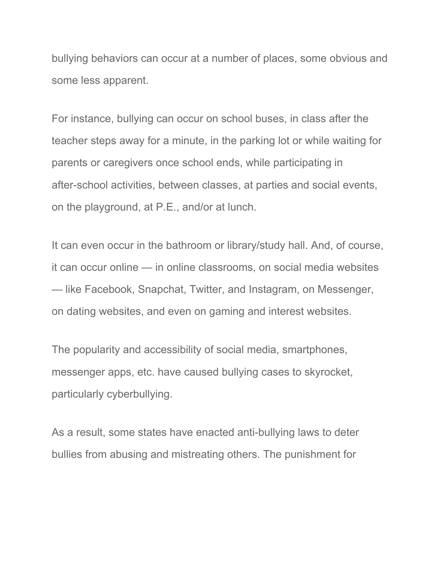bullying behaviors can occur at a number of places, some obvious and some less apparent.

For instance, bullying can occur on school buses, in class after the teacher steps away for a minute, in the parking lot or while waiting for parents or caregivers once school ends, while participating in after-school activities, between classes, at parties and social events, on the playground, at P.E., and/or at lunch.

It can even occur in the bathroom or library/study hall. And, of course, it can occur online — in online classrooms, on social media websites — like Facebook, Snapchat, Twitter, and Instagram, on Messenger, on dating websites, and even on gaming and interest websites.

The popularity and accessibility of social media, smartphones, messenger apps, etc. have caused bullying cases to skyrocket, particularly cyberbullying.

As a result, some states have enacted anti-bullying laws to deter bullies from abusing and mistreating others. The punishment for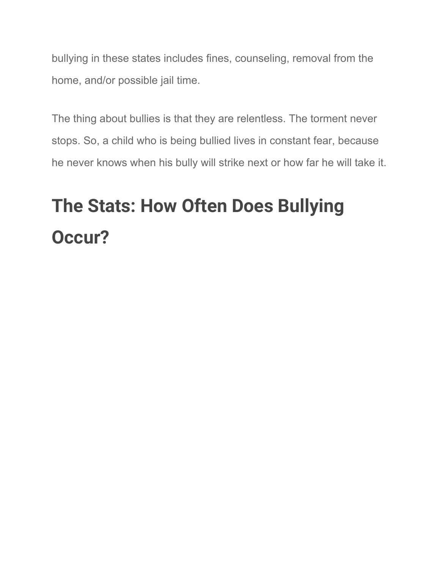bullying in these states includes fines, counseling, removal from the home, and/or possible jail time.

The thing about bullies is that they are relentless. The torment never stops. So, a child who is being bullied lives in constant fear, because he never knows when his bully will strike next or how far he will take it.

# **The Stats: How Often Does Bullying Occur?**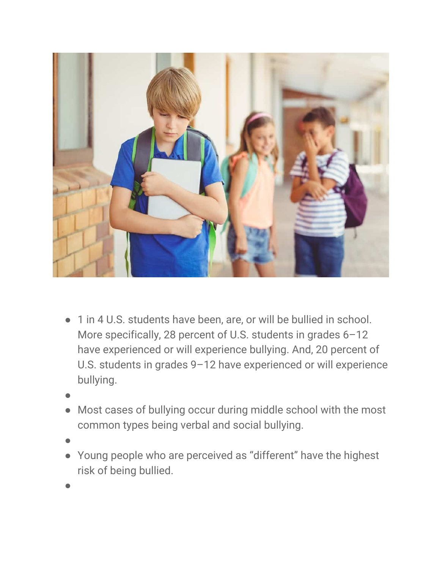

- 1 in 4 U.S. students have been, are, or will be bullied in school. More specifically, 28 percent of U.S. students in grades 6–12 have experienced or will experience bullying. And, 20 percent of U.S. students in grades 9–12 have experienced or will experience bullying.
- ●
- Most cases of bullying occur during middle school with the most common types being verbal and social bullying.
- ●
- Young people who are perceived as "different" have the highest risk of being bullied.
- ●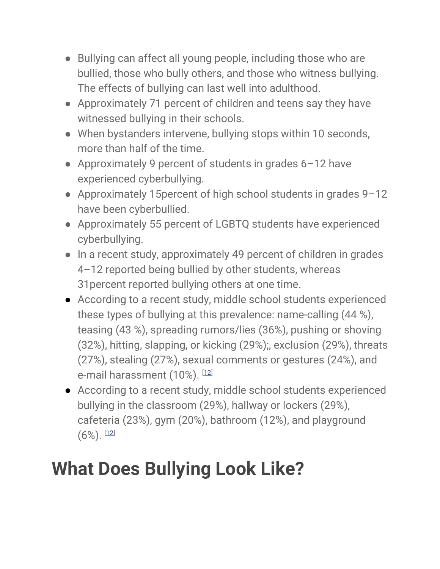- Bullying can affect all young people, including those who are bullied, those who bully others, and those who witness bullying. The effects of bullying can last well into adulthood.
- Approximately 71 percent of children and teens say they have witnessed bullying in their schools.
- When bystanders intervene, bullying stops within 10 seconds, more than half of the time.
- Approximately 9 percent of students in grades 6-12 have experienced cyberbullying.
- Approximately 15percent of high school students in grades 9–12 have been cyberbullied.
- Approximately 55 percent of LGBTQ students have experienced cyberbullying.
- In a recent study, approximately 49 percent of children in grades 4–12 reported being bullied by other students, whereas 31percent reported bullying others at one time.
- According to a recent study, middle school students experienced these types of bullying at this prevalence: name-calling (44 %), teasing (43 %), spreading rumors/lies (36%), pushing or shoving (32%), hitting, slapping, or kicking (29%);, exclusion (29%), threats (27%), stealing (27%), sexual comments or gestures (24%), and e-mail harassment (10%). [[12\]](https://parentingpod.com/bullying/#ref12)
- According to a recent study, middle school students experienced bullying in the classroom (29%), hallway or lockers (29%), cafeteria (23%), gym (20%), bathroom (12%), and playground  $(6\%)$ . [[12\]](https://parentingpod.com/bullying/#ref12)

## **What Does Bullying Look Like?**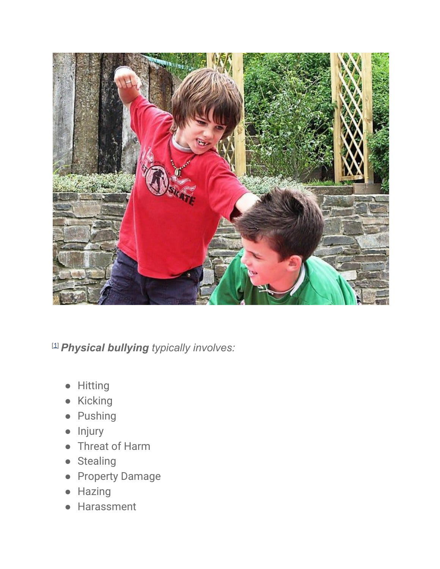

[\[1\]](https://parentingpod.com/bullying/#ref1) *Physical bullying typically involves:*

- Hitting
- Kicking
- Pushing
- Injury
- Threat of Harm
- Stealing
- Property Damage
- Hazing
- Harassment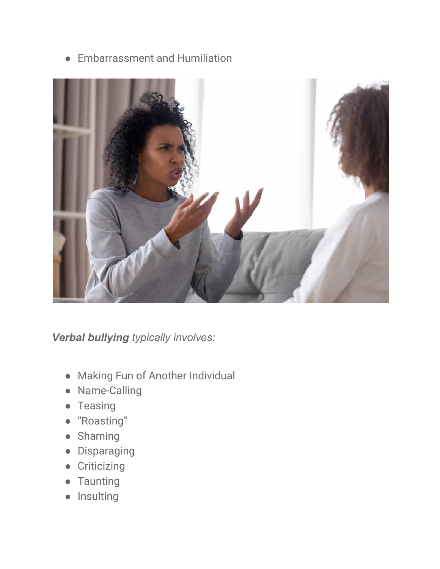● Embarrassment and Humiliation



*Verbal bullying typically involves:*

- Making Fun of Another Individual
- Name-Calling
- Teasing
- "Roasting"
- Shaming
- Disparaging
- Criticizing
- Taunting
- Insulting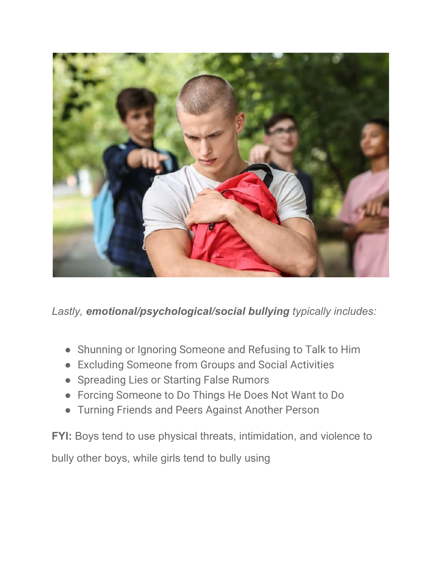

*Lastly, emotional/psychological/social bullying typically includes:*

- Shunning or Ignoring Someone and Refusing to Talk to Him
- Excluding Someone from Groups and Social Activities
- Spreading Lies or Starting False Rumors
- Forcing Someone to Do Things He Does Not Want to Do
- Turning Friends and Peers Against Another Person

**FYI:** Boys tend to use physical threats, intimidation, and violence to bully other boys, while girls tend to bully using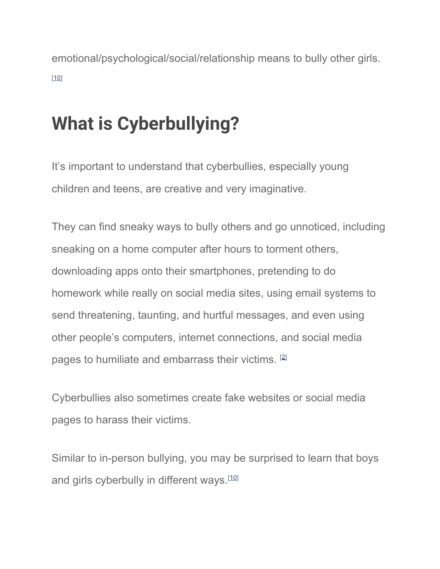emotional/psychological/social/relationship means to bully other girls. [\[10\]](https://parentingpod.com/bullying/#ref10)

## **What is Cyberbullying?**

It's important to understand that cyberbullies, especially young children and teens, are creative and very imaginative.

They can find sneaky ways to bully others and go unnoticed, including sneaking on a home computer after hours to torment others, downloading apps onto their smartphones, pretending to do homework while really on social media sites, using email systems to send threatening, taunting, and hurtful messages, and even using other people's computers, internet connections, and social media pages to humiliate and embarrass their victims. [\[2\]](https://parentingpod.com/bullying/#ref2)

Cyberbullies also sometimes create fake websites or social media pages to harass their victims.

Similar to in-person bullying, you may be surprised to learn that boys and girls cyberbully in different ways.<sup>[[10](https://parentingpod.com/bullying/#ref10)]</sup>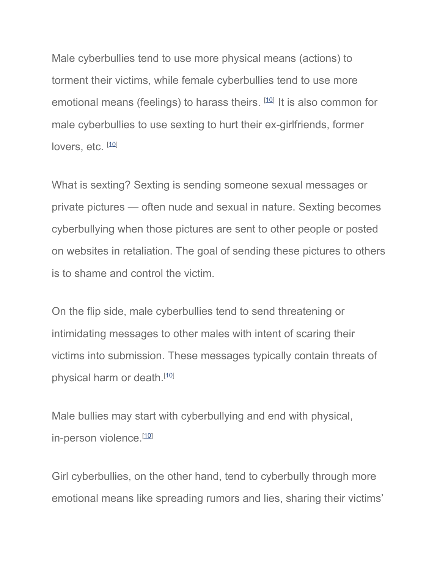Male cyberbullies tend to use more physical means (actions) to torment their victims, while female cyberbullies tend to use more emotional means (feelings) to harass theirs. [[10\]](https://parentingpod.com/bullying/#ref10) It is also common for male cyberbullies to use sexting to hurt their ex-girlfriends, former lovers, etc. [[10](https://parentingpod.com/bullying/#ref10)]

What is sexting? Sexting is sending someone sexual messages or private pictures — often nude and sexual in nature. Sexting becomes cyberbullying when those pictures are sent to other people or posted on websites in retaliation. The goal of sending these pictures to others is to shame and control the victim.

On the flip side, male cyberbullies tend to send threatening or intimidating messages to other males with intent of scaring their victims into submission. These messages typically contain threats of physical harm or death.<sup>[\[10\]](https://parentingpod.com/bullying/#ref10)</sup>

Male bullies may start with cyberbullying and end with physical, in-person violence.<sup>[\[10\]](https://parentingpod.com/bullying/#ref10)</sup>

Girl cyberbullies, on the other hand, tend to cyberbully through more emotional means like spreading rumors and lies, sharing their victims'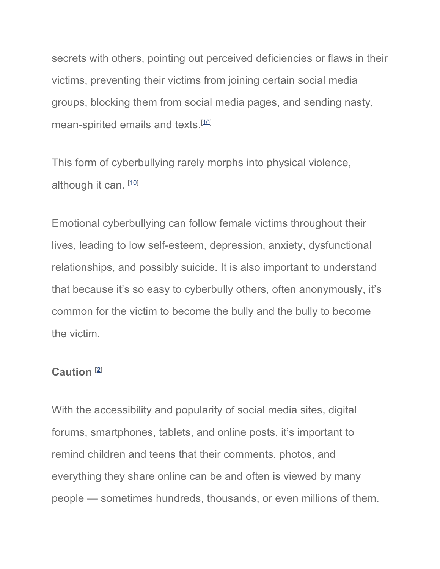secrets with others, pointing out perceived deficiencies or flaws in their victims, preventing their victims from joining certain social media groups, blocking them from social media pages, and sending nasty, mean-spirited emails and texts.[\[10](https://parentingpod.com/bullying/#ref10)]

This form of cyberbullying rarely morphs into physical violence, although it can. [[10](https://parentingpod.com/bullying/#ref10)]

Emotional cyberbullying can follow female victims throughout their lives, leading to low self-esteem, depression, anxiety, dysfunctional relationships, and possibly suicide. It is also important to understand that because it's so easy to cyberbully others, often anonymously, it's common for the victim to become the bully and the bully to become the victim.

#### **Caution [[2\]](https://parentingpod.com/bullying/#ref2)**

With the accessibility and popularity of social media sites, digital forums, smartphones, tablets, and online posts, it's important to remind children and teens that their comments, photos, and everything they share online can be and often is viewed by many people — sometimes hundreds, thousands, or even millions of them.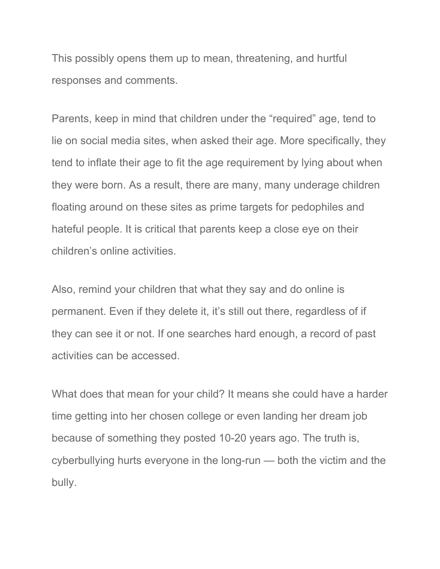This possibly opens them up to mean, threatening, and hurtful responses and comments.

Parents, keep in mind that children under the "required" age, tend to lie on social media sites, when asked their age. More specifically, they tend to inflate their age to fit the age requirement by lying about when they were born. As a result, there are many, many underage children floating around on these sites as prime targets for pedophiles and hateful people. It is critical that parents keep a close eye on their children's online activities.

Also, remind your children that what they say and do online is permanent. Even if they delete it, it's still out there, regardless of if they can see it or not. If one searches hard enough, a record of past activities can be accessed.

What does that mean for your child? It means she could have a harder time getting into her chosen college or even landing her dream job because of something they posted 10-20 years ago. The truth is, cyberbullying hurts everyone in the long-run — both the victim and the bully.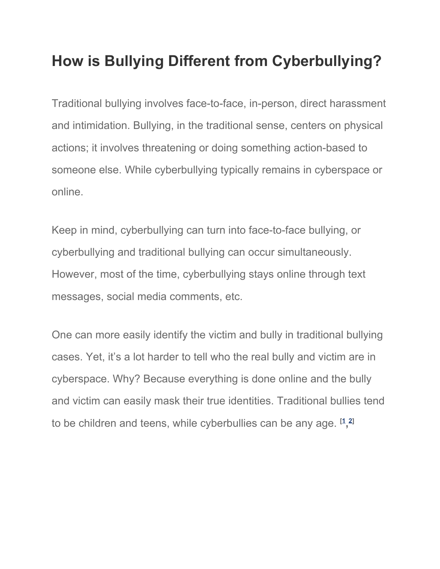### **How is Bullying Different from Cyberbullying?**

Traditional bullying involves face-to-face, in-person, direct harassment and intimidation. Bullying, in the traditional sense, centers on physical actions; it involves threatening or doing something action-based to someone else. While cyberbullying typically remains in cyberspace or online.

Keep in mind, cyberbullying can turn into face-to-face bullying, or cyberbullying and traditional bullying can occur simultaneously. However, most of the time, cyberbullying stays online through text messages, social media comments, etc.

One can more easily identify the victim and bully in traditional bullying cases. Yet, it's a lot harder to tell who the real bully and victim are in cyberspace. Why? Because everything is done online and the bully and victim can easily mask their true identities. Traditional bullies tend to be children and teens, while cyberbullies can be any age. **[\[1](https://parentingpod.com/bullying/#ref1) , [2](https://parentingpod.com/bullying/#ref2)]**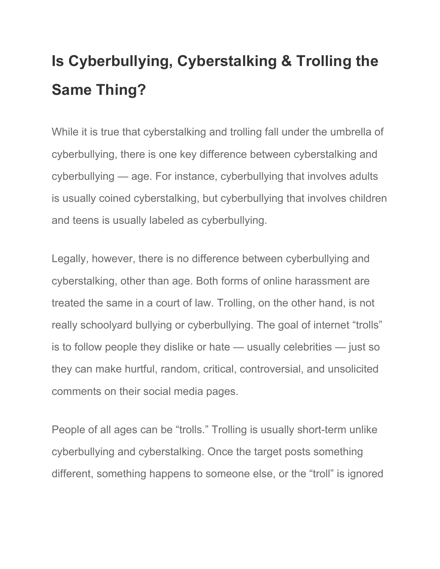## **Is Cyberbullying, Cyberstalking & Trolling the Same Thing?**

While it is true that cyberstalking and trolling fall under the umbrella of cyberbullying, there is one key difference between cyberstalking and cyberbullying — age. For instance, cyberbullying that involves adults is usually coined cyberstalking, but cyberbullying that involves children and teens is usually labeled as cyberbullying.

Legally, however, there is no difference between cyberbullying and cyberstalking, other than age. Both forms of online harassment are treated the same in a court of law. Trolling, on the other hand, is not really schoolyard bullying or cyberbullying. The goal of internet "trolls" is to follow people they dislike or hate — usually celebrities — just so they can make hurtful, random, critical, controversial, and unsolicited comments on their social media pages.

People of all ages can be "trolls." Trolling is usually short-term unlike cyberbullying and cyberstalking. Once the target posts something different, something happens to someone else, or the "troll" is ignored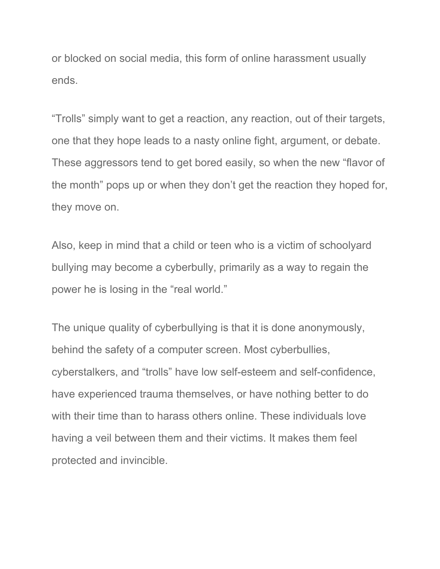or blocked on social media, this form of online harassment usually ends.

"Trolls" simply want to get a reaction, any reaction, out of their targets, one that they hope leads to a nasty online fight, argument, or debate. These aggressors tend to get bored easily, so when the new "flavor of the month" pops up or when they don't get the reaction they hoped for, they move on.

Also, keep in mind that a child or teen who is a victim of schoolyard bullying may become a cyberbully, primarily as a way to regain the power he is losing in the "real world."

The unique quality of cyberbullying is that it is done anonymously, behind the safety of a computer screen. Most cyberbullies, cyberstalkers, and "trolls" have low self-esteem and self-confidence, have experienced trauma themselves, or have nothing better to do with their time than to harass others online. These individuals love having a veil between them and their victims. It makes them feel protected and invincible.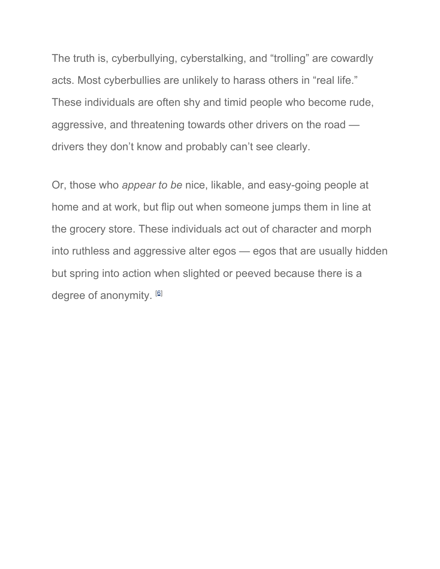The truth is, cyberbullying, cyberstalking, and "trolling" are cowardly acts. Most cyberbullies are unlikely to harass others in "real life." These individuals are often shy and timid people who become rude, aggressive, and threatening towards other drivers on the road drivers they don't know and probably can't see clearly.

Or, those who *appear to be* nice, likable, and easy-going people at home and at work, but flip out when someone jumps them in line at the grocery store. These individuals act out of character and morph into ruthless and aggressive alter egos — egos that are usually hidden but spring into action when slighted or peeved because there is a degree of anonymity. [[6\]](https://parentingpod.com/bullying/#ref6)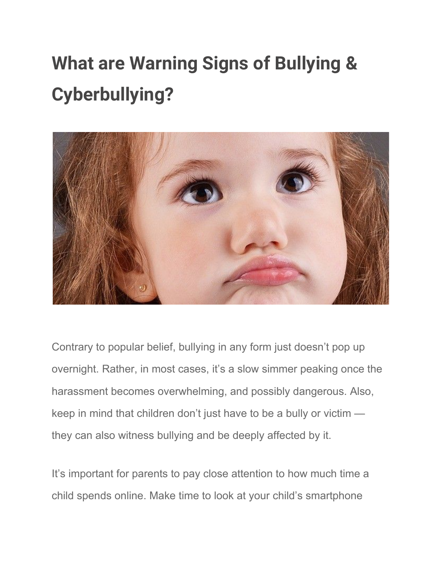# **What are Warning Signs of Bullying & Cyberbullying?**



Contrary to popular belief, bullying in any form just doesn't pop up overnight. Rather, in most cases, it's a slow simmer peaking once the harassment becomes overwhelming, and possibly dangerous. Also, keep in mind that children don't just have to be a bully or victim they can also witness bullying and be deeply affected by it.

It's important for parents to pay close attention to how much time a child spends online. Make time to look at your child's smartphone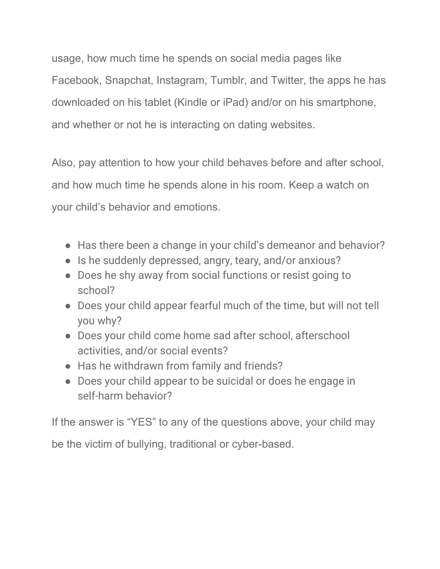usage, how much time he spends on social media pages like Facebook, Snapchat, Instagram, Tumblr, and Twitter, the apps he has downloaded on his tablet (Kindle or iPad) and/or on his smartphone, and whether or not he is interacting on dating websites.

Also, pay attention to how your child behaves before and after school, and how much time he spends alone in his room. Keep a watch on your child's behavior and emotions.

- Has there been a change in your child's demeanor and behavior?
- Is he suddenly depressed, angry, teary, and/or anxious?
- Does he shy away from social functions or resist going to school?
- Does your child appear fearful much of the time, but will not tell you why?
- Does your child come home sad after school, afterschool activities, and/or social events?
- Has he withdrawn from family and friends?
- Does your child appear to be suicidal or does he engage in self-harm behavior?

If the answer is "YES" to any of the questions above, your child may be the victim of bullying, traditional or cyber-based.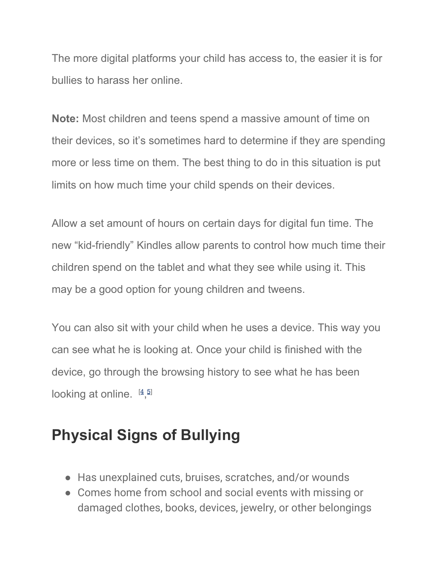The more digital platforms your child has access to, the easier it is for bullies to harass her online.

**Note:** Most children and teens spend a massive amount of time on their devices, so it's sometimes hard to determine if they are spending more or less time on them. The best thing to do in this situation is put limits on how much time your child spends on their devices.

Allow a set amount of hours on certain days for digital fun time. The new "kid-friendly" Kindles allow parents to control how much time their children spend on the tablet and what they see while using it. This may be a good option for young children and tweens.

You can also sit with your child when he uses a device. This way you can see what he is looking at. Once your child is finished with the device, go through the browsing history to see what he has been looking at online.  $[4,5]$  $[4,5]$  $[4,5]$  $[4,5]$  $[4,5]$ 

### **Physical Signs of Bullying**

- Has unexplained cuts, bruises, scratches, and/or wounds
- Comes home from school and social events with missing or damaged clothes, books, devices, jewelry, or other belongings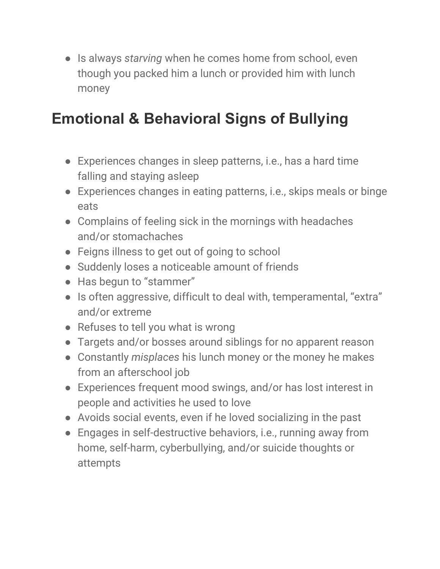● Is always *starving* when he comes home from school, even though you packed him a lunch or provided him with lunch money

### **Emotional & Behavioral Signs of Bullying**

- Experiences changes in sleep patterns, i.e., has a hard time falling and staying asleep
- Experiences changes in eating patterns, i.e., skips meals or binge eats
- Complains of feeling sick in the mornings with headaches and/or stomachaches
- Feigns illness to get out of going to school
- Suddenly loses a noticeable amount of friends
- Has begun to "stammer"
- Is often aggressive, difficult to deal with, temperamental, "extra" and/or extreme
- Refuses to tell you what is wrong
- Targets and/or bosses around siblings for no apparent reason
- Constantly *misplaces* his lunch money or the money he makes from an afterschool job
- Experiences frequent mood swings, and/or has lost interest in people and activities he used to love
- Avoids social events, even if he loved socializing in the past
- Engages in self-destructive behaviors, i.e., running away from home, self-harm, cyberbullying, and/or suicide thoughts or attempts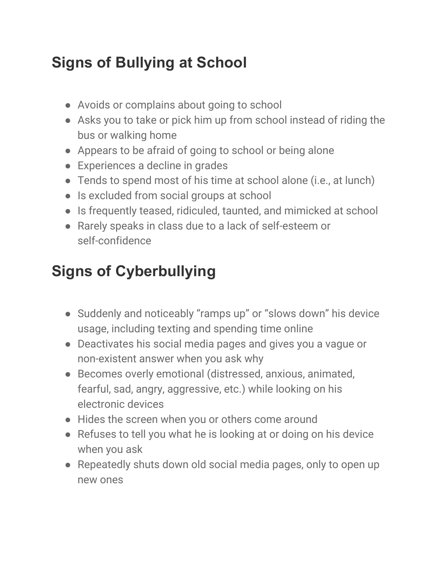### **Signs of Bullying at School**

- Avoids or complains about going to school
- Asks you to take or pick him up from school instead of riding the bus or walking home
- Appears to be afraid of going to school or being alone
- Experiences a decline in grades
- Tends to spend most of his time at school alone (i.e., at lunch)
- Is excluded from social groups at school
- Is frequently teased, ridiculed, taunted, and mimicked at school
- Rarely speaks in class due to a lack of self-esteem or self-confidence

### **Signs of Cyberbullying**

- Suddenly and noticeably "ramps up" or "slows down" his device usage, including texting and spending time online
- Deactivates his social media pages and gives you a vague or non-existent answer when you ask why
- Becomes overly emotional (distressed, anxious, animated, fearful, sad, angry, aggressive, etc.) while looking on his electronic devices
- Hides the screen when you or others come around
- Refuses to tell you what he is looking at or doing on his device when you ask
- Repeatedly shuts down old social media pages, only to open up new ones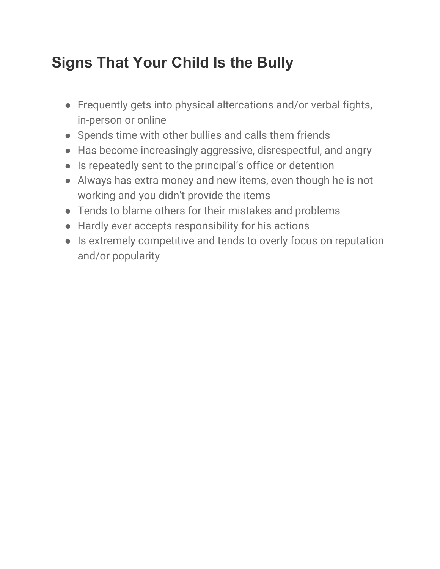### **Signs That Your Child Is the Bully**

- Frequently gets into physical altercations and/or verbal fights, in-person or online
- Spends time with other bullies and calls them friends
- Has become increasingly aggressive, disrespectful, and angry
- Is repeatedly sent to the principal's office or detention
- Always has extra money and new items, even though he is not working and you didn't provide the items
- Tends to blame others for their mistakes and problems
- Hardly ever accepts responsibility for his actions
- Is extremely competitive and tends to overly focus on reputation and/or popularity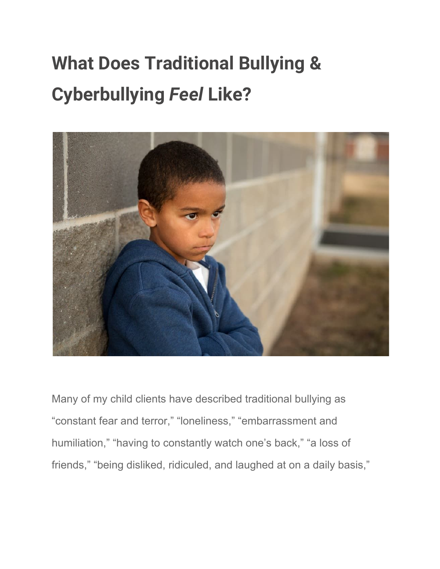# **What Does Traditional Bullying & Cyberbullying** *Feel* **Like?**



Many of my child clients have described traditional bullying as "constant fear and terror," "loneliness," "embarrassment and humiliation," "having to constantly watch one's back," "a loss of friends," "being disliked, ridiculed, and laughed at on a daily basis,"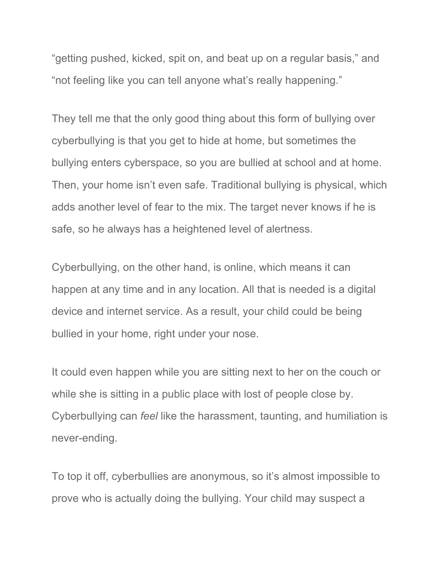"getting pushed, kicked, spit on, and beat up on a regular basis," and "not feeling like you can tell anyone what's really happening."

They tell me that the only good thing about this form of bullying over cyberbullying is that you get to hide at home, but sometimes the bullying enters cyberspace, so you are bullied at school and at home. Then, your home isn't even safe. Traditional bullying is physical, which adds another level of fear to the mix. The target never knows if he is safe, so he always has a heightened level of alertness.

Cyberbullying, on the other hand, is online, which means it can happen at any time and in any location. All that is needed is a digital device and internet service. As a result, your child could be being bullied in your home, right under your nose.

It could even happen while you are sitting next to her on the couch or while she is sitting in a public place with lost of people close by. Cyberbullying can *feel* like the harassment, taunting, and humiliation is never-ending.

To top it off, cyberbullies are anonymous, so it's almost impossible to prove who is actually doing the bullying. Your child may suspect a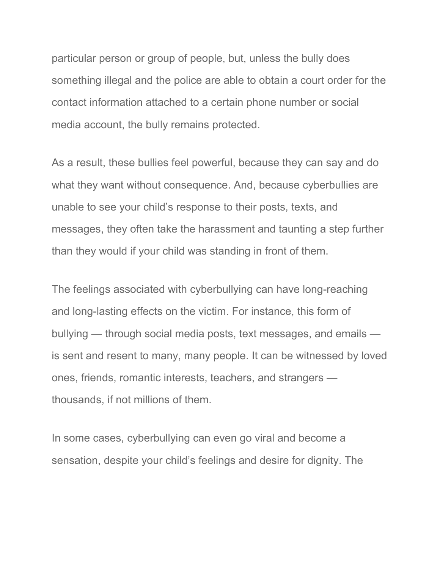particular person or group of people, but, unless the bully does something illegal and the police are able to obtain a court order for the contact information attached to a certain phone number or social media account, the bully remains protected.

As a result, these bullies feel powerful, because they can say and do what they want without consequence. And, because cyberbullies are unable to see your child's response to their posts, texts, and messages, they often take the harassment and taunting a step further than they would if your child was standing in front of them.

The feelings associated with cyberbullying can have long-reaching and long-lasting effects on the victim. For instance, this form of bullying — through social media posts, text messages, and emails is sent and resent to many, many people. It can be witnessed by loved ones, friends, romantic interests, teachers, and strangers thousands, if not millions of them.

In some cases, cyberbullying can even go viral and become a sensation, despite your child's feelings and desire for dignity. The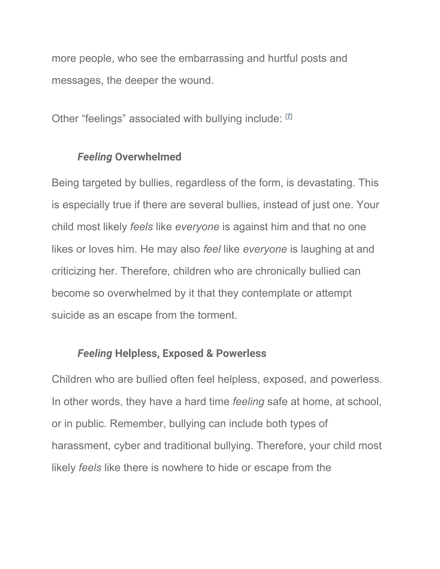more people, who see the embarrassing and hurtful posts and messages, the deeper the wound.

Other "feelings" associated with bullying include: [[7\]](https://parentingpod.com/bullying/#ref7)

#### *Feeling* **Overwhelmed**

Being targeted by bullies, regardless of the form, is devastating. This is especially true if there are several bullies, instead of just one. Your child most likely *feels* like *everyone* is against him and that no one likes or loves him. He may also *feel* like *everyone* is laughing at and criticizing her. Therefore, children who are chronically bullied can become so overwhelmed by it that they contemplate or attempt suicide as an escape from the torment.

#### *Feeling* **Helpless, Exposed & Powerless**

Children who are bullied often feel helpless, exposed, and powerless. In other words, they have a hard time *feeling* safe at home, at school, or in public. Remember, bullying can include both types of harassment, cyber and traditional bullying. Therefore, your child most likely *feels* like there is nowhere to hide or escape from the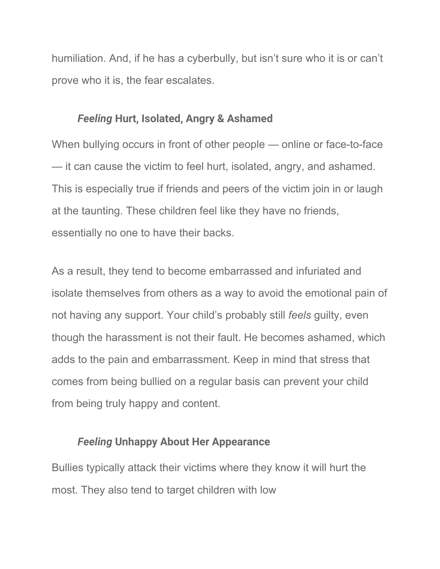humiliation. And, if he has a cyberbully, but isn't sure who it is or can't prove who it is, the fear escalates.

#### *Feeling* **Hurt, Isolated, Angry & Ashamed**

When bullying occurs in front of other people — online or face-to-face — it can cause the victim to feel hurt, isolated, angry, and ashamed. This is especially true if friends and peers of the victim join in or laugh at the taunting. These children feel like they have no friends, essentially no one to have their backs.

As a result, they tend to become embarrassed and infuriated and isolate themselves from others as a way to avoid the emotional pain of not having any support. Your child's probably still *feels* guilty, even though the harassment is not their fault. He becomes ashamed, which adds to the pain and embarrassment. Keep in mind that stress that comes from being bullied on a regular basis can prevent your child from being truly happy and content.

#### *Feeling* **Unhappy About Her Appearance**

Bullies typically attack their victims where they know it will hurt the most. They also tend to target children with low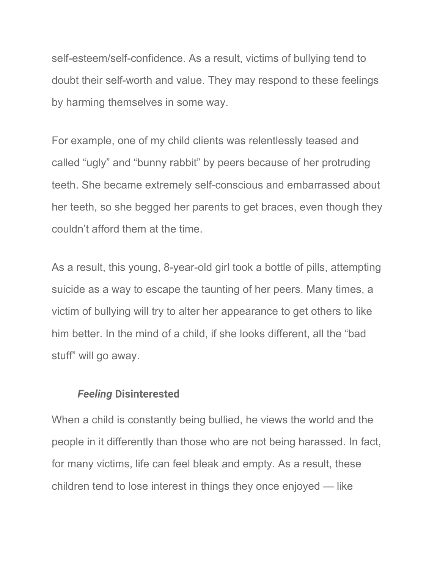self-esteem/self-confidence. As a result, victims of bullying tend to doubt their self-worth and value. They may respond to these feelings by harming themselves in some way.

For example, one of my child clients was relentlessly teased and called "ugly" and "bunny rabbit" by peers because of her protruding teeth. She became extremely self-conscious and embarrassed about her teeth, so she begged her parents to get braces, even though they couldn't afford them at the time.

As a result, this young, 8-year-old girl took a bottle of pills, attempting suicide as a way to escape the taunting of her peers. Many times, a victim of bullying will try to alter her appearance to get others to like him better. In the mind of a child, if she looks different, all the "bad stuff" will go away.

#### *Feeling* **Disinterested**

When a child is constantly being bullied, he views the world and the people in it differently than those who are not being harassed. In fact, for many victims, life can feel bleak and empty. As a result, these children tend to lose interest in things they once enjoyed — like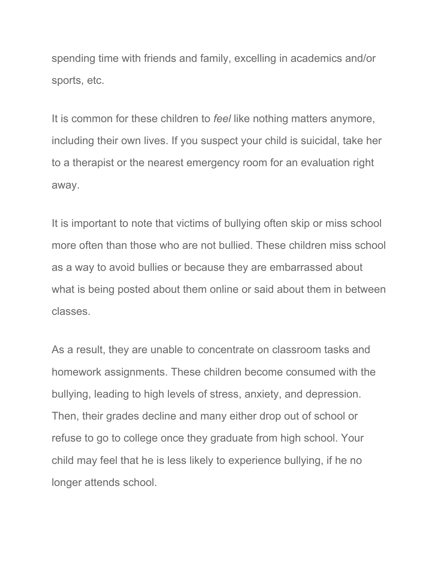spending time with friends and family, excelling in academics and/or sports, etc.

It is common for these children to *feel* like nothing matters anymore, including their own lives. If you suspect your child is suicidal, take her to a therapist or the nearest emergency room for an evaluation right away.

It is important to note that victims of bullying often skip or miss school more often than those who are not bullied. These children miss school as a way to avoid bullies or because they are embarrassed about what is being posted about them online or said about them in between classes.

As a result, they are unable to concentrate on classroom tasks and homework assignments. These children become consumed with the bullying, leading to high levels of stress, anxiety, and depression. Then, their grades decline and many either drop out of school or refuse to go to college once they graduate from high school. Your child may feel that he is less likely to experience bullying, if he no longer attends school.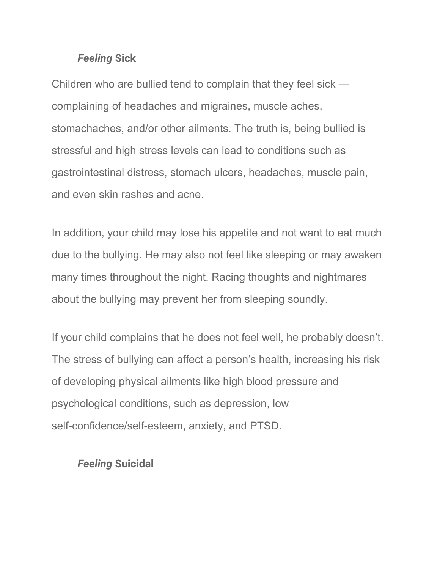#### *Feeling* **Sick**

Children who are bullied tend to complain that they feel sick complaining of headaches and migraines, muscle aches, stomachaches, and/or other ailments. The truth is, being bullied is stressful and high stress levels can lead to conditions such as gastrointestinal distress, stomach ulcers, headaches, muscle pain, and even skin rashes and acne.

In addition, your child may lose his appetite and not want to eat much due to the bullying. He may also not feel like sleeping or may awaken many times throughout the night. Racing thoughts and nightmares about the bullying may prevent her from sleeping soundly.

If your child complains that he does not feel well, he probably doesn't. The stress of bullying can affect a person's health, increasing his risk of developing physical ailments like high blood pressure and psychological conditions, such as depression, low self-confidence/self-esteem, anxiety, and PTSD.

#### *Feeling* **Suicidal**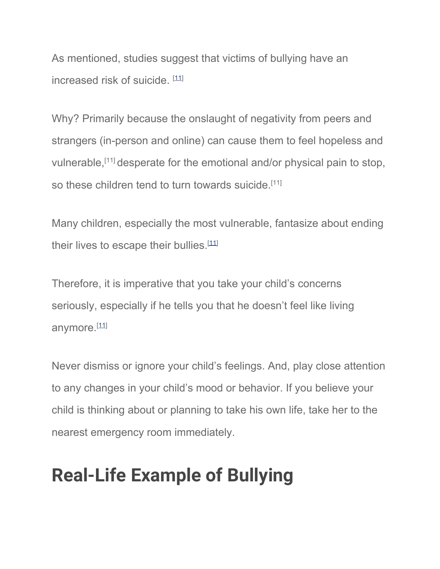As mentioned, studies suggest that victims of bullying have an increased risk of suicide. [[11\]](https://parentingpod.com/bullying/#ref11)

Why? Primarily because the onslaught of negativity from peers and strangers (in-person and online) can cause them to feel hopeless and vulnerable,[11] desperate for the emotional and/or physical pain to stop, so these children tend to turn towards suicide.<sup>[11]</sup>

Many children, especially the most vulnerable, fantasize about ending their lives to escape their bullies.[\[11\]](https://parentingpod.com/bullying/#ref11)

Therefore, it is imperative that you take your child's concerns seriously, especially if he tells you that he doesn't feel like living anymore.<sup>[\[11](https://parentingpod.com/bullying/#ref11)]</sup>

Never dismiss or ignore your child's feelings. And, play close attention to any changes in your child's mood or behavior. If you believe your child is thinking about or planning to take his own life, take her to the nearest emergency room immediately.

## **Real-Life Example of Bullying**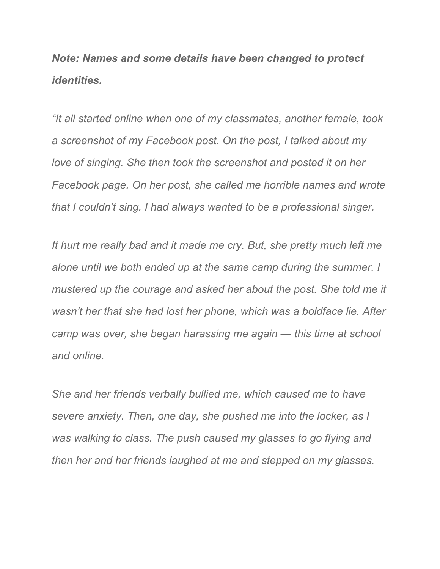*Note: Names and some details have been changed to protect identities.*

*"It all started online when one of my classmates, another female, took a screenshot of my Facebook post. On the post, I talked about my love of singing. She then took the screenshot and posted it on her Facebook page. On her post, she called me horrible names and wrote that I couldn't sing. I had always wanted to be a professional singer.*

*It hurt me really bad and it made me cry. But, she pretty much left me alone until we both ended up at the same camp during the summer. I mustered up the courage and asked her about the post. She told me it wasn't her that she had lost her phone, which was a boldface lie. After camp was over, she began harassing me again — this time at school and online.*

*She and her friends verbally bullied me, which caused me to have severe anxiety. Then, one day, she pushed me into the locker, as I was walking to class. The push caused my glasses to go flying and then her and her friends laughed at me and stepped on my glasses.*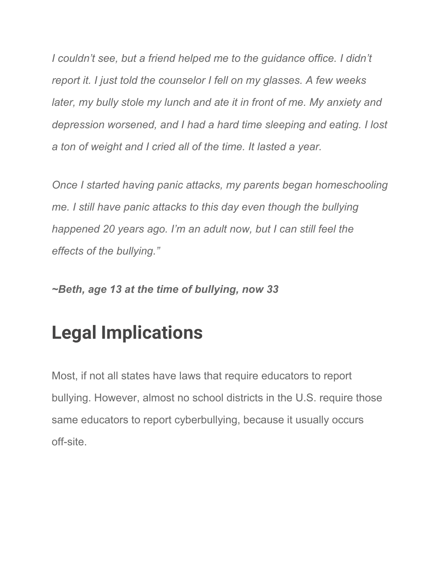*I couldn't see, but a friend helped me to the guidance office. I didn't report it. I just told the counselor I fell on my glasses. A few weeks later, my bully stole my lunch and ate it in front of me. My anxiety and depression worsened, and I had a hard time sleeping and eating. I lost a ton of weight and I cried all of the time. It lasted a year.*

*Once I started having panic attacks, my parents began homeschooling me. I still have panic attacks to this day even though the bullying happened 20 years ago. I'm an adult now, but I can still feel the effects of the bullying."*

*~Beth, age 13 at the time of bullying, now 33*

## **Legal Implications**

Most, if not all states have laws that require educators to report bullying. However, almost no school districts in the U.S. require those same educators to report cyberbullying, because it usually occurs off-site.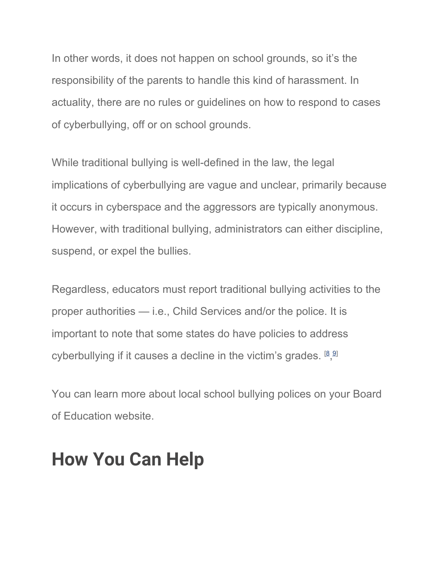In other words, it does not happen on school grounds, so it's the responsibility of the parents to handle this kind of harassment. In actuality, there are no rules or guidelines on how to respond to cases of cyberbullying, off or on school grounds.

While traditional bullying is well-defined in the law, the legal implications of cyberbullying are vague and unclear, primarily because it occurs in cyberspace and the aggressors are typically anonymous. However, with traditional bullying, administrators can either discipline, suspend, or expel the bullies.

Regardless, educators must report traditional bullying activities to the proper authorities — i.e., Child Services and/or the police. It is important to note that some states do have policies to address cyberbullying if it causes a decline in the victim's grades. [[8](https://parentingpod.com/bullying/#ref8), [9](https://parentingpod.com/bullying/#ref9)]

You can learn more about local school bullying polices on your Board of Education website.

### **How You Can Help**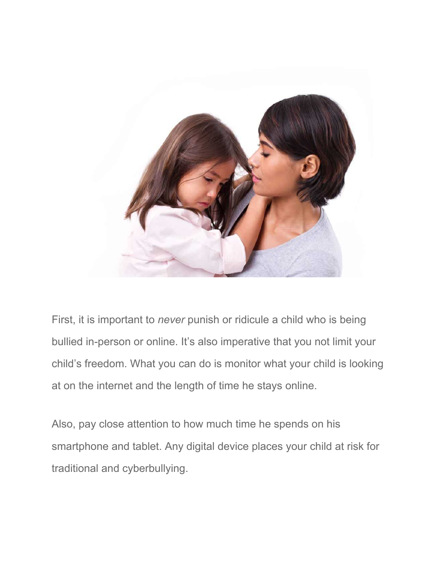

First, it is important to *never* punish or ridicule a child who is being bullied in-person or online. It's also imperative that you not limit your child's freedom. What you can do is monitor what your child is looking at on the internet and the length of time he stays online.

Also, pay close attention to how much time he spends on his smartphone and tablet. Any digital device places your child at risk for traditional and cyberbullying.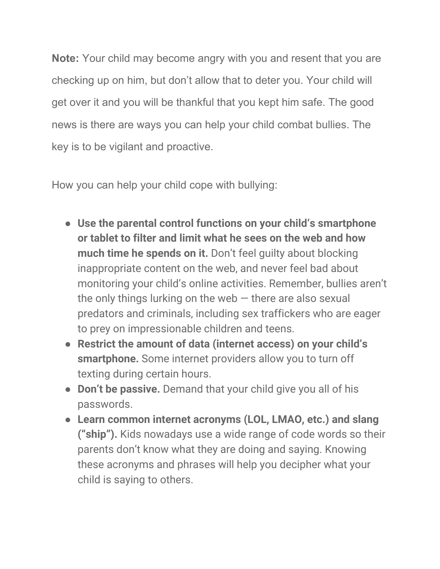**Note:** Your child may become angry with you and resent that you are checking up on him, but don't allow that to deter you. Your child will get over it and you will be thankful that you kept him safe. The good news is there are ways you can help your child combat bullies. The key is to be vigilant and proactive.

How you can help your child cope with bullying:

- **Use the parental control functions on your child's smartphone or tablet to filter and limit what he sees on the web and how much time he spends on it.** Don't feel guilty about blocking inappropriate content on the web, and never feel bad about monitoring your child's online activities. Remember, bullies aren't the only things lurking on the web  $-$  there are also sexual predators and criminals, including sex traffickers who are eager to prey on impressionable children and teens.
- **Restrict the amount of data (internet access) on your child's smartphone.** Some internet providers allow you to turn off texting during certain hours.
- **Don't be passive.** Demand that your child give you all of his passwords.
- **Learn common internet acronyms (LOL, LMAO, etc.) and slang ("ship").** Kids nowadays use a wide range of code words so their parents don't know what they are doing and saying. Knowing these acronyms and phrases will help you decipher what your child is saying to others.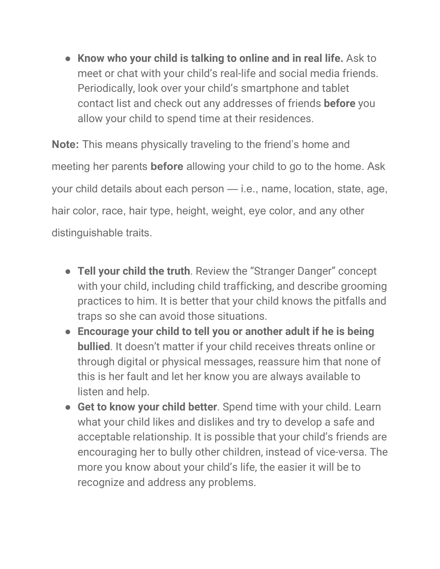● **Know who your child is talking to online and in real life.** Ask to meet or chat with your child's real-life and social media friends. Periodically, look over your child's smartphone and tablet contact list and check out any addresses of friends **before** you allow your child to spend time at their residences.

**Note:** This means physically traveling to the friend's home and meeting her parents **before** allowing your child to go to the home. Ask your child details about each person — i.e., name, location, state, age, hair color, race, hair type, height, weight, eye color, and any other distinguishable traits.

- **Tell your child the truth**. Review the "Stranger Danger" concept with your child, including child trafficking, and describe grooming practices to him. It is better that your child knows the pitfalls and traps so she can avoid those situations.
- **Encourage your child to tell you or another adult if he is being bullied**. It doesn't matter if your child receives threats online or through digital or physical messages, reassure him that none of this is her fault and let her know you are always available to listen and help.
- **Get to know your child better**. Spend time with your child. Learn what your child likes and dislikes and try to develop a safe and acceptable relationship. It is possible that your child's friends are encouraging her to bully other children, instead of vice-versa. The more you know about your child's life, the easier it will be to recognize and address any problems.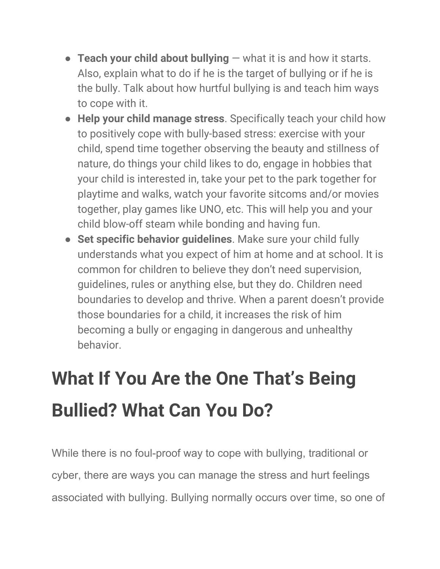- **Teach your child about bullying** what it is and how it starts. Also, explain what to do if he is the target of bullying or if he is the bully. Talk about how hurtful bullying is and teach him ways to cope with it.
- **Help your child manage stress**. Specifically teach your child how to positively cope with bully-based stress: exercise with your child, spend time together observing the beauty and stillness of nature, do things your child likes to do, engage in hobbies that your child is interested in, take your pet to the park together for playtime and walks, watch your favorite sitcoms and/or movies together, play games like UNO, etc. This will help you and your child blow-off steam while bonding and having fun.
- **Set specific behavior guidelines**. Make sure your child fully understands what you expect of him at home and at school. It is common for children to believe they don't need supervision, guidelines, rules or anything else, but they do. Children need boundaries to develop and thrive. When a parent doesn't provide those boundaries for a child, it increases the risk of him becoming a bully or engaging in dangerous and unhealthy behavior.

# **What If You Are the One That's Being Bullied? What Can You Do?**

While there is no foul-proof way to cope with bullying, traditional or cyber, there are ways you can manage the stress and hurt feelings associated with bullying. Bullying normally occurs over time, so one of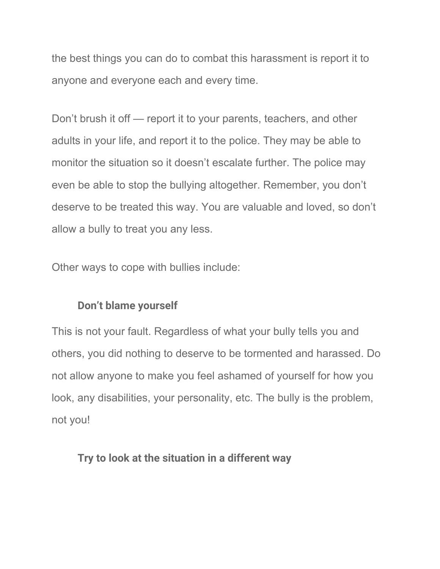the best things you can do to combat this harassment is report it to anyone and everyone each and every time.

Don't brush it off — report it to your parents, teachers, and other adults in your life, and report it to the police. They may be able to monitor the situation so it doesn't escalate further. The police may even be able to stop the bullying altogether. Remember, you don't deserve to be treated this way. You are valuable and loved, so don't allow a bully to treat you any less.

Other ways to cope with bullies include:

#### **Don't blame yourself**

This is not your fault. Regardless of what your bully tells you and others, you did nothing to deserve to be tormented and harassed. Do not allow anyone to make you feel ashamed of yourself for how you look, any disabilities, your personality, etc. The bully is the problem, not you!

#### **Try to look at the situation in a different way**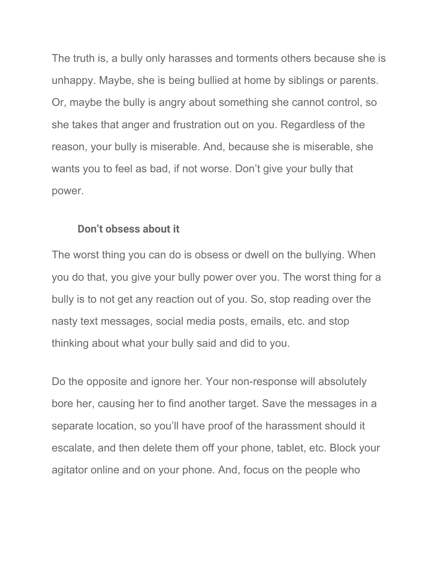The truth is, a bully only harasses and torments others because she is unhappy. Maybe, she is being bullied at home by siblings or parents. Or, maybe the bully is angry about something she cannot control, so she takes that anger and frustration out on you. Regardless of the reason, your bully is miserable. And, because she is miserable, she wants you to feel as bad, if not worse. Don't give your bully that power.

#### **Don't obsess about it**

The worst thing you can do is obsess or dwell on the bullying. When you do that, you give your bully power over you. The worst thing for a bully is to not get any reaction out of you. So, stop reading over the nasty text messages, social media posts, emails, etc. and stop thinking about what your bully said and did to you.

Do the opposite and ignore her. Your non-response will absolutely bore her, causing her to find another target. Save the messages in a separate location, so you'll have proof of the harassment should it escalate, and then delete them off your phone, tablet, etc. Block your agitator online and on your phone. And, focus on the people who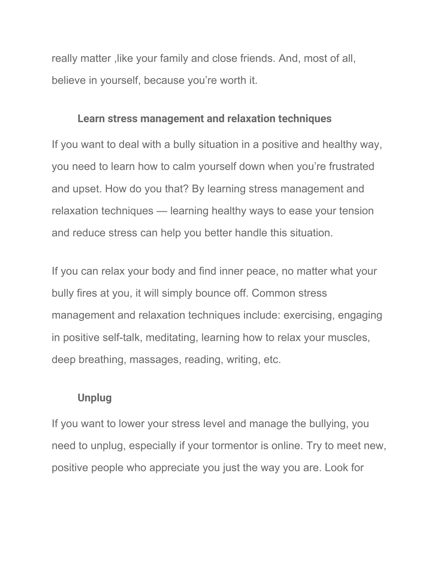really matter, like your family and close friends. And, most of all, believe in yourself, because you're worth it.

#### **Learn stress management and relaxation techniques**

If you want to deal with a bully situation in a positive and healthy way, you need to learn how to calm yourself down when you're frustrated and upset. How do you that? By learning stress management and relaxation techniques — learning healthy ways to ease your tension and reduce stress can help you better handle this situation.

If you can relax your body and find inner peace, no matter what your bully fires at you, it will simply bounce off. Common stress management and relaxation techniques include: exercising, engaging in positive self-talk, meditating, learning how to relax your muscles, deep breathing, massages, reading, writing, etc.

#### **Unplug**

If you want to lower your stress level and manage the bullying, you need to unplug, especially if your tormentor is online. Try to meet new, positive people who appreciate you just the way you are. Look for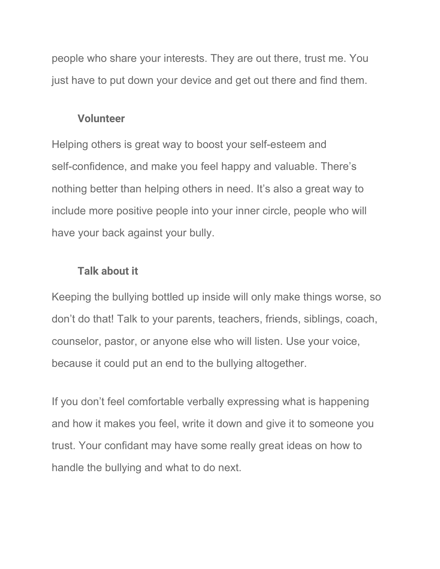people who share your interests. They are out there, trust me. You just have to put down your device and get out there and find them.

#### **Volunteer**

Helping others is great way to boost your self-esteem and self-confidence, and make you feel happy and valuable. There's nothing better than helping others in need. It's also a great way to include more positive people into your inner circle, people who will have your back against your bully.

#### **Talk about it**

Keeping the bullying bottled up inside will only make things worse, so don't do that! Talk to your parents, teachers, friends, siblings, coach, counselor, pastor, or anyone else who will listen. Use your voice, because it could put an end to the bullying altogether.

If you don't feel comfortable verbally expressing what is happening and how it makes you feel, write it down and give it to someone you trust. Your confidant may have some really great ideas on how to handle the bullying and what to do next.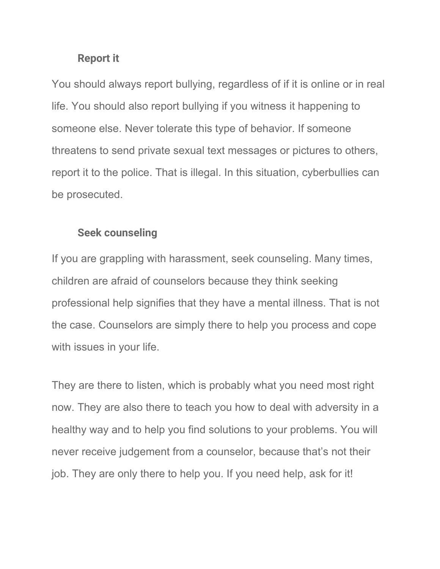#### **Report it**

You should always report bullying, regardless of if it is online or in real life. You should also report bullying if you witness it happening to someone else. Never tolerate this type of behavior. If someone threatens to send private sexual text messages or pictures to others, report it to the police. That is illegal. In this situation, cyberbullies can be prosecuted.

#### **Seek counseling**

If you are grappling with harassment, seek counseling. Many times, children are afraid of counselors because they think seeking professional help signifies that they have a mental illness. That is not the case. Counselors are simply there to help you process and cope with issues in your life.

They are there to listen, which is probably what you need most right now. They are also there to teach you how to deal with adversity in a healthy way and to help you find solutions to your problems. You will never receive judgement from a counselor, because that's not their job. They are only there to help you. If you need help, ask for it!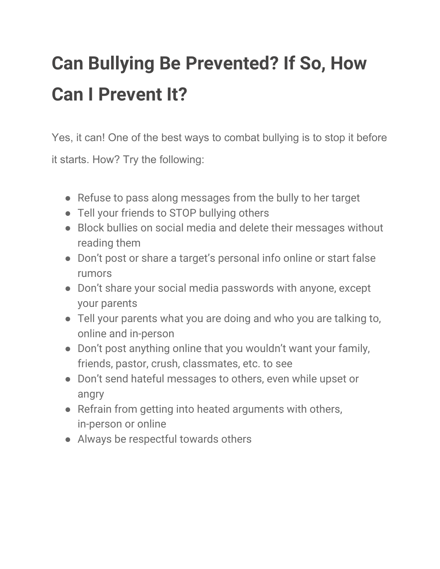# **Can Bullying Be Prevented? If So, How Can I Prevent It?**

Yes, it can! One of the best ways to combat bullying is to stop it before

it starts. How? Try the following:

- Refuse to pass along messages from the bully to her target
- Tell your friends to STOP bullying others
- Block bullies on social media and delete their messages without reading them
- Don't post or share a target's personal info online or start false rumors
- Don't share your social media passwords with anyone, except your parents
- Tell your parents what you are doing and who you are talking to, online and in-person
- Don't post anything online that you wouldn't want your family, friends, pastor, crush, classmates, etc. to see
- Don't send hateful messages to others, even while upset or angry
- Refrain from getting into heated arguments with others, in-person or online
- Always be respectful towards others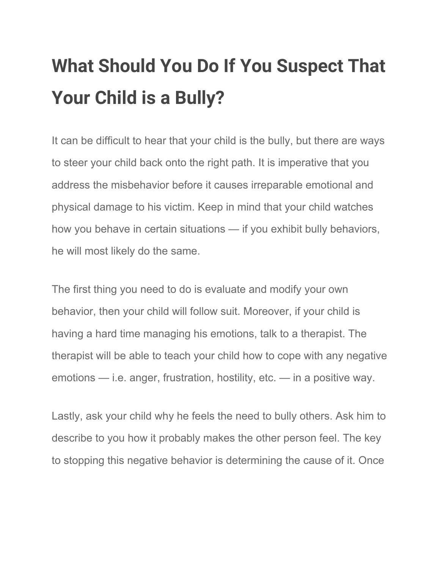# **What Should You Do If You Suspect That Your Child is a Bully?**

It can be difficult to hear that your child is the bully, but there are ways to steer your child back onto the right path. It is imperative that you address the misbehavior before it causes irreparable emotional and physical damage to his victim. Keep in mind that your child watches how you behave in certain situations — if you exhibit bully behaviors, he will most likely do the same.

The first thing you need to do is evaluate and modify your own behavior, then your child will follow suit. Moreover, if your child is having a hard time managing his emotions, talk to a therapist. The therapist will be able to teach your child how to cope with any negative emotions — i.e. anger, frustration, hostility, etc. — in a positive way.

Lastly, ask your child why he feels the need to bully others. Ask him to describe to you how it probably makes the other person feel. The key to stopping this negative behavior is determining the cause of it. Once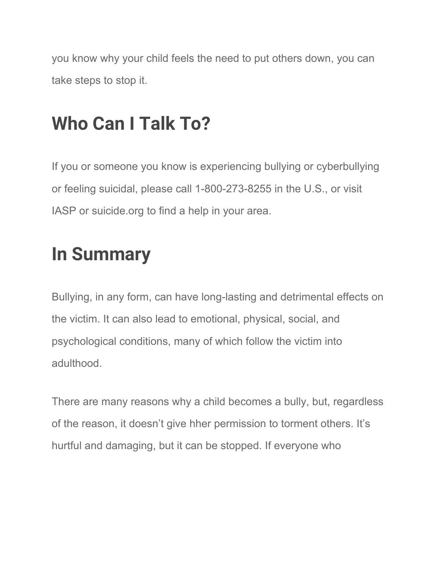you know why your child feels the need to put others down, you can take steps to stop it.

## **Who Can I Talk To?**

If you or someone you know is experiencing bullying or cyberbullying or feeling suicidal, please call 1-800-273-8255 in the U.S., or visit IASP or suicide.org to find a help in your area.

## **In Summary**

Bullying, in any form, can have long-lasting and detrimental effects on the victim. It can also lead to emotional, physical, social, and psychological conditions, many of which follow the victim into adulthood.

There are many reasons why a child becomes a bully, but, regardless of the reason, it doesn't give hher permission to torment others. It's hurtful and damaging, but it can be stopped. If everyone who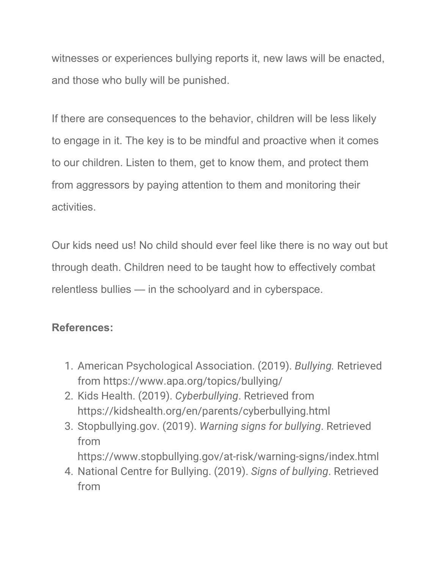witnesses or experiences bullying reports it, new laws will be enacted, and those who bully will be punished.

If there are consequences to the behavior, children will be less likely to engage in it. The key is to be mindful and proactive when it comes to our children. Listen to them, get to know them, and protect them from aggressors by paying attention to them and monitoring their activities.

Our kids need us! No child should ever feel like there is no way out but through death. Children need to be taught how to effectively combat relentless bullies — in the schoolyard and in cyberspace.

#### **References:**

- 1. American Psychological Association. (2019). *Bullying.* Retrieved from https://www.apa.org/topics/bullying/
- 2. Kids Health. (2019). *Cyberbullying*. Retrieved from https://kidshealth.org/en/parents/cyberbullying.html
- 3. Stopbullying.gov. (2019). *Warning signs for bullying*. Retrieved from https://www.stopbullying.gov/at-risk/warning-signs/index.html
- 4. National Centre for Bullying. (2019). *Signs of bullying*. Retrieved from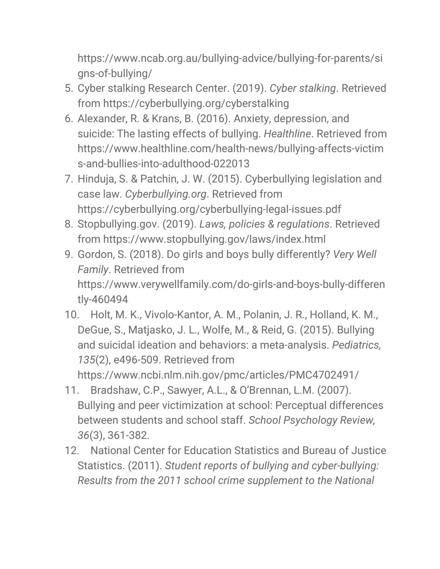https://www.ncab.org.au/bullying-advice/bullying-for-parents/si gns-of-bullying/

- 5. Cyber stalking Research Center. (2019). *Cyber stalking*. Retrieved from https://cyberbullying.org/cyberstalking
- 6. Alexander, R. & Krans, B. (2016). Anxiety, depression, and suicide: The lasting effects of bullying. *Healthline*. Retrieved from https://www.healthline.com/health-news/bullying-affects-victim s-and-bullies-into-adulthood-022013
- 7. Hinduja, S. & Patchin, J. W. (2015). Cyberbullying legislation and case law. *Cyberbullying.org*. Retrieved from https://cyberbullying.org/cyberbullying-legal-issues.pdf
- 8. Stopbullying.gov. (2019). *Laws, policies & regulations*. Retrieved from https://www.stopbullying.gov/laws/index.html
- 9. Gordon, S. (2018). Do girls and boys bully differently? *Very Well Family*. Retrieved from https://www.verywellfamily.com/do-girls-and-boys-bully-differen tly-460494
- 10. Holt, M. K., Vivolo-Kantor, A. M., Polanin, J. R., Holland, K. M., DeGue, S., Matjasko, J. L., Wolfe, M., & Reid, G. (2015). Bullying and suicidal ideation and behaviors: a meta-analysis. *Pediatrics, 135*(2), e496-509. Retrieved from https://www.ncbi.nlm.nih.gov/pmc/articles/PMC4702491/
- 11. Bradshaw, C.P., Sawyer, A.L., & O'Brennan, L.M. (2007). Bullying and peer victimization at school: Perceptual differences between students and school staff. *School Psychology Review, 36*(3), 361-382.
- 12. National Center for Education Statistics and Bureau of Justice Statistics. (2011). *Student reports of bullying and cyber-bullying: Results from the 2011 school crime supplement to the National*